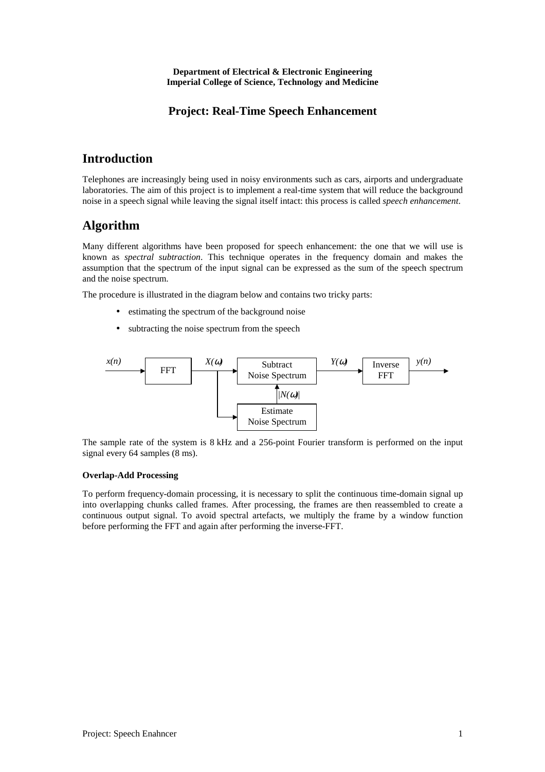**Department of Electrical & Electronic Engineering Imperial College of Science, Technology and Medicine** 

### **Project: Real-Time Speech Enhancement**

## **Introduction**

Telephones are increasingly being used in noisy environments such as cars, airports and undergraduate laboratories. The aim of this project is to implement a real-time system that will reduce the background noise in a speech signal while leaving the signal itself intact: this process is called *speech enhancement*.

## **Algorithm**

Many different algorithms have been proposed for speech enhancement: the one that we will use is known as *spectral subtraction*. This technique operates in the frequency domain and makes the assumption that the spectrum of the input signal can be expressed as the sum of the speech spectrum and the noise spectrum.

The procedure is illustrated in the diagram below and contains two tricky parts:

- estimating the spectrum of the background noise
- subtracting the noise spectrum from the speech



The sample rate of the system is 8 kHz and a 256-point Fourier transform is performed on the input signal every 64 samples (8 ms).

#### **Overlap-Add Processing**

To perform frequency-domain processing, it is necessary to split the continuous time-domain signal up into overlapping chunks called frames. After processing, the frames are then reassembled to create a continuous output signal. To avoid spectral artefacts, we multiply the frame by a window function before performing the FFT and again after performing the inverse-FFT.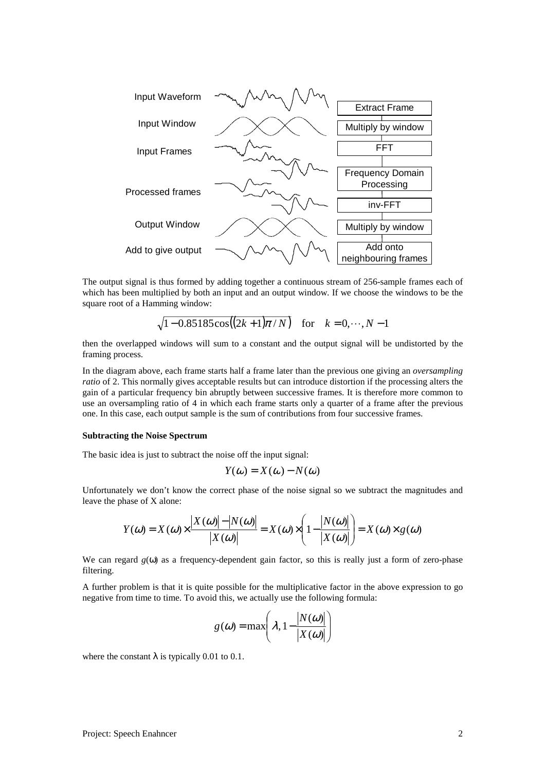

The output signal is thus formed by adding together a continuous stream of 256-sample frames each of which has been multiplied by both an input and an output window. If we choose the windows to be the square root of a Hamming window:

$$
\sqrt{1-0.85185\cos((2k+1)\pi/N)}
$$
 for  $k = 0, \dots, N-1$ 

then the overlapped windows will sum to a constant and the output signal will be undistorted by the framing process.

In the diagram above, each frame starts half a frame later than the previous one giving an *oversampling ratio* of 2. This normally gives acceptable results but can introduce distortion if the processing alters the gain of a particular frequency bin abruptly between successive frames. It is therefore more common to use an oversampling ratio of 4 in which each frame starts only a quarter of a frame after the previous one. In this case, each output sample is the sum of contributions from four successive frames.

#### **Subtracting the Noise Spectrum**

The basic idea is just to subtract the noise off the input signal:

$$
Y(\omega) = X(\omega) - N(\omega)
$$

Unfortunately we don't know the correct phase of the noise signal so we subtract the magnitudes and leave the phase of X alone:

$$
Y(\omega) = X(\omega) \times \frac{|X(\omega)| - |N(\omega)|}{|X(\omega)|} = X(\omega) \times \left(1 - \frac{|N(\omega)|}{|X(\omega)|}\right) = X(\omega) \times g(\omega)
$$

We can regard  $g(\omega)$  as a frequency-dependent gain factor, so this is really just a form of zero-phase filtering.

A further problem is that it is quite possible for the multiplicative factor in the above expression to go negative from time to time. To avoid this, we actually use the following formula:

$$
g(\omega) = \max\left(\lambda, 1 - \frac{|N(\omega)|}{|X(\omega)|}\right)
$$

where the constant  $\lambda$  is typically 0.01 to 0.1.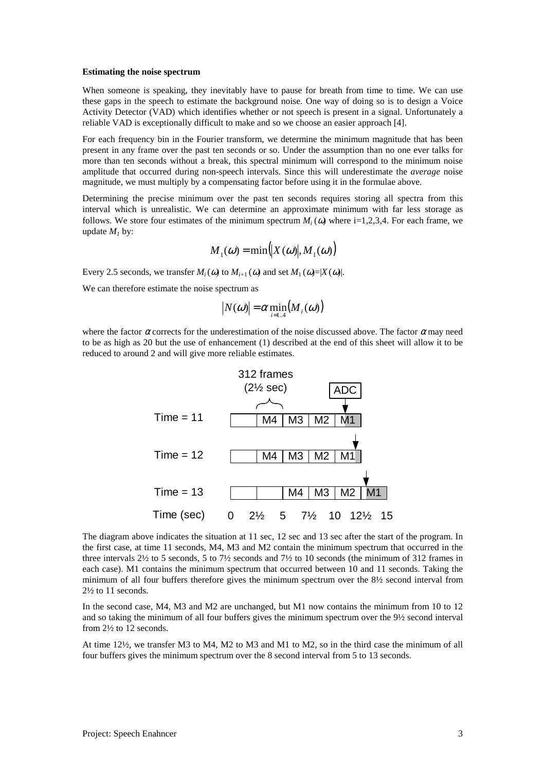#### **Estimating the noise spectrum**

When someone is speaking, they inevitably have to pause for breath from time to time. We can use these gaps in the speech to estimate the background noise. One way of doing so is to design a Voice Activity Detector (VAD) which identifies whether or not speech is present in a signal. Unfortunately a reliable VAD is exceptionally difficult to make and so we choose an easier approach [4].

For each frequency bin in the Fourier transform, we determine the minimum magnitude that has been present in any frame over the past ten seconds or so. Under the assumption than no one ever talks for more than ten seconds without a break, this spectral minimum will correspond to the minimum noise amplitude that occurred during non-speech intervals. Since this will underestimate the *average* noise magnitude, we must multiply by a compensating factor before using it in the formulae above.

Determining the precise minimum over the past ten seconds requires storing all spectra from this interval which is unrealistic. We can determine an approximate minimum with far less storage as follows. We store four estimates of the minimum spectrum  $M_i(\omega)$  where i=1,2,3,4. For each frame, we update  $M_1$  by:

$$
M_1(\omega) = \min(|X(\omega)|, M_1(\omega))
$$

Every 2.5 seconds, we transfer  $M_i(\omega)$  to  $M_{i+1}(\omega)$  and set  $M_1(\omega) = |X(\omega)|$ .

We can therefore estimate the noise spectrum as

$$
|N(\omega)| = \alpha \min_{i=1..4} (M_i(\omega))
$$

where the factor  $\alpha$  corrects for the underestimation of the noise discussed above. The factor  $\alpha$  may need to be as high as 20 but the use of enhancement (1) described at the end of this sheet will allow it to be reduced to around 2 and will give more reliable estimates.



The diagram above indicates the situation at 11 sec, 12 sec and 13 sec after the start of the program. In the first case, at time 11 seconds, M4, M3 and M2 contain the minimum spectrum that occurred in the three intervals 2½ to 5 seconds, 5 to 7½ seconds and 7½ to 10 seconds (the minimum of 312 frames in each case). M1 contains the minimum spectrum that occurred between 10 and 11 seconds. Taking the minimum of all four buffers therefore gives the minimum spectrum over the 8½ second interval from 2½ to 11 seconds.

In the second case, M4, M3 and M2 are unchanged, but M1 now contains the minimum from 10 to 12 and so taking the minimum of all four buffers gives the minimum spectrum over the 9½ second interval from 2½ to 12 seconds.

At time 12½, we transfer M3 to M4, M2 to M3 and M1 to M2, so in the third case the minimum of all four buffers gives the minimum spectrum over the 8 second interval from 5 to 13 seconds.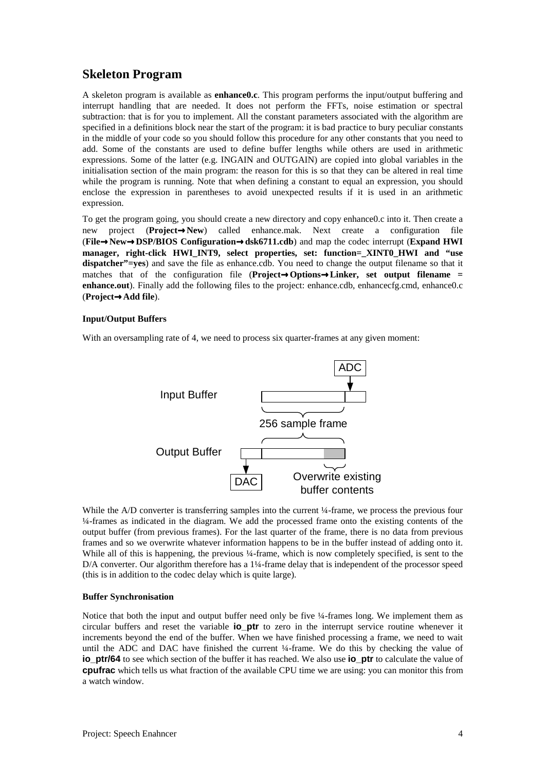# **Skeleton Program**

A skeleton program is available as **enhance0.c**. This program performs the input/output buffering and interrupt handling that are needed. It does not perform the FFTs, noise estimation or spectral subtraction: that is for you to implement. All the constant parameters associated with the algorithm are specified in a definitions block near the start of the program: it is bad practice to bury peculiar constants in the middle of your code so you should follow this procedure for any other constants that you need to add. Some of the constants are used to define buffer lengths while others are used in arithmetic expressions. Some of the latter (e.g. INGAIN and OUTGAIN) are copied into global variables in the initialisation section of the main program: the reason for this is so that they can be altered in real time while the program is running. Note that when defining a constant to equal an expression, you should enclose the expression in parentheses to avoid unexpected results if it is used in an arithmetic expression.

To get the program going, you should create a new directory and copy enhance0.c into it. Then create a new project (**Project**→**New**) called enhance.mak. Next create a configuration file (**File**→**New**→**DSP/BIOS Configuration**→**dsk6711.cdb**) and map the codec interrupt (**Expand HWI manager, right-click HWI\_INT9, select properties, set: function=\_XINT0\_HWI and "use dispatcher"=yes**) and save the file as enhance.cdb. You need to change the output filename so that it matches that of the configuration file (**Project**→**Options**→**Linker, set output filename = enhance.out**). Finally add the following files to the project: enhance.cdb, enhancecfg.cmd, enhance0.c (**Project**→**Add file**).

#### **Input/Output Buffers**

With an oversampling rate of 4, we need to process six quarter-frames at any given moment:



While the A/D converter is transferring samples into the current  $\frac{1}{4}$ -frame, we process the previous four ¼-frames as indicated in the diagram. We add the processed frame onto the existing contents of the output buffer (from previous frames). For the last quarter of the frame, there is no data from previous frames and so we overwrite whatever information happens to be in the buffer instead of adding onto it. While all of this is happening, the previous ¼-frame, which is now completely specified, is sent to the D/A converter. Our algorithm therefore has a 1¼-frame delay that is independent of the processor speed (this is in addition to the codec delay which is quite large).

#### **Buffer Synchronisation**

Notice that both the input and output buffer need only be five ¼-frames long. We implement them as circular buffers and reset the variable **io\_ptr** to zero in the interrupt service routine whenever it increments beyond the end of the buffer. When we have finished processing a frame, we need to wait until the ADC and DAC have finished the current ¼-frame. We do this by checking the value of **io ptr/64** to see which section of the buffer it has reached. We also use **io ptr** to calculate the value of **cpufrac** which tells us what fraction of the available CPU time we are using: you can monitor this from a watch window.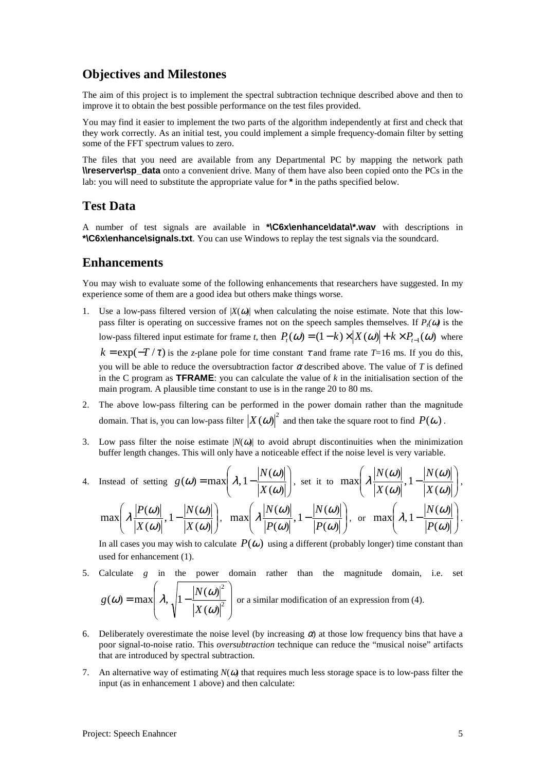## **Objectives and Milestones**

The aim of this project is to implement the spectral subtraction technique described above and then to improve it to obtain the best possible performance on the test files provided.

You may find it easier to implement the two parts of the algorithm independently at first and check that they work correctly. As an initial test, you could implement a simple frequency-domain filter by setting some of the FFT spectrum values to zero.

The files that you need are available from any Departmental PC by mapping the network path **\\reserver\sp\_data** onto a convenient drive. Many of them have also been copied onto the PCs in the lab: you will need to substitute the appropriate value for **\*** in the paths specified below.

## **Test Data**

A number of test signals are available in **\*\C6x\enhance\data\\*.wav** with descriptions in **\*\C6x\enhance\signals.txt**. You can use Windows to replay the test signals via the soundcard.

### **Enhancements**

You may wish to evaluate some of the following enhancements that researchers have suggested. In my experience some of them are a good idea but others make things worse.

- 1. Use a low-pass filtered version of  $|X(\omega)|$  when calculating the noise estimate. Note that this lowpass filter is operating on successive frames not on the speech samples themselves. If  $P_t(\omega)$  is the low-pass filtered input estimate for frame *t*, then  $P_t(\omega) = (1 - k) \times |X(\omega)| + k \times P_{t-1}(\omega)$  where  $k = \exp(-T/\tau)$  is the *z*-plane pole for time constant  $\tau$  and frame rate *T*=16 ms. If you do this, you will be able to reduce the oversubtraction factor  $\alpha$  described above. The value of *T* is defined in the C program as **TFRAME**: you can calculate the value of *k* in the initialisation section of the main program. A plausible time constant to use is in the range 20 to 80 ms.
- 2. The above low-pass filtering can be performed in the power domain rather than the magnitude domain. That is, you can low-pass filter  $|X(\omega)|^2$  and then take the square root to find  $P(\omega)$ .
- 3. Low pass filter the noise estimate  $|N(\omega)|$  to avoid abrupt discontinuities when the minimization buffer length changes. This will only have a noticeable effect if the noise level is very variable.

4. Instead of setting 
$$
g(\omega) = \max \left( \lambda, 1 - \frac{|N(\omega)|}{|X(\omega)|} \right)
$$
, set it to  $\max \left( \lambda \frac{|N(\omega)|}{|X(\omega)|}, 1 - \frac{|N(\omega)|}{|X(\omega)|} \right)$ ,  
 $\max \left( \lambda \frac{|P(\omega)|}{|X(\omega)|}, 1 - \frac{|N(\omega)|}{|X(\omega)|} \right)$ ,  $\max \left( \lambda \frac{|N(\omega)|}{|P(\omega)|}, 1 - \frac{|N(\omega)|}{|P(\omega)|} \right)$ , or  $\max \left( \lambda, 1 - \frac{|N(\omega)|}{|P(\omega)|} \right)$ .

In all cases you may wish to calculate  $P(\omega)$  using a different (probably longer) time constant than used for enhancement (1).

- 5. Calculate *g* in the power domain rather than the magnitude domain, i.e. set  $\overline{\phantom{a}}$  $\overline{\phantom{a}}$ J  $\backslash$  $\mathbf{I}$  $\mathsf{L}$ J ſ  $=$  max  $\lambda$ ,  $\sqrt{1-\frac{|\mathbf{r}(\mathbf{w})|}{|\mathbf{r}(\mathbf{v})|^2}}$ 2  $\left( \omega \right)$  $(\omega)$  = max  $\lambda$ ,  $\left|1 - \frac{N(\omega)}{N(\omega)}\right|$ ω  $\omega$  = max  $\lambda$ ,  $1 - \frac{N(\omega)}{N(\omega)}$ *X N*  $g(\omega) = \max |\lambda_{1,1}| - \frac{|\cdot| \cdot |\cdot| \cdot |\cdot|}{\sqrt{2}}$  or a similar modification of an expression from (4).
- 6. Deliberately overestimate the noise level (by increasing  $\alpha$ ) at those low frequency bins that have a poor signal-to-noise ratio. This *oversubtraction* technique can reduce the "musical noise" artifacts that are introduced by spectral subtraction.
- 7. An alternative way of estimating  $N(\omega)$  that requires much less storage space is to low-pass filter the input (as in enhancement 1 above) and then calculate: